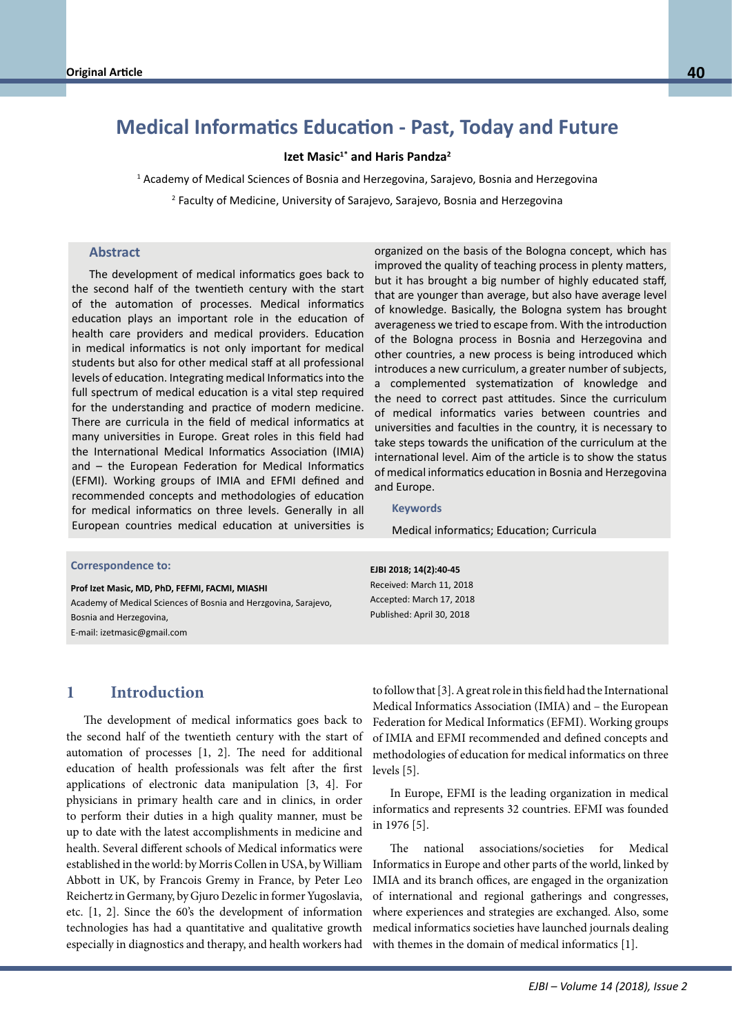# **Medical Informatics Education - Past, Today and Future**

**Izet Masic1\* and Haris Pandza<sup>2</sup>**

1 Academy of Medical Sciences of Bosnia and Herzegovina, Sarajevo, Bosnia and Herzegovina

2 Faculty of Medicine, University of Sarajevo, Sarajevo, Bosnia and Herzegovina

#### **Abstract**

The development of medical informatics goes back to the second half of the twentieth century with the start of the automation of processes. Medical informatics education plays an important role in the education of health care providers and medical providers. Education in medical informatics is not only important for medical students but also for other medical staff at all professional levels of education. Integrating medical Informatics into the full spectrum of medical education is a vital step required for the understanding and practice of modern medicine. There are curricula in the field of medical informatics at many universities in Europe. Great roles in this field had the International Medical Informatics Association (IMIA) and – the European Federation for Medical Informatics (EFMI). Working groups of IMIA and EFMI defined and recommended concepts and methodologies of education for medical informatics on three levels. Generally in all European countries medical education at universities is

organized on the basis of the Bologna concept, which has improved the quality of teaching process in plenty matters, but it has brought a big number of highly educated staff, that are younger than average, but also have average level of knowledge. Basically, the Bologna system has brought averageness we tried to escape from. With the introduction of the Bologna process in Bosnia and Herzegovina and other countries, a new process is being introduced which introduces a new curriculum, a greater number of subjects, a complemented systematization of knowledge and the need to correct past attitudes. Since the curriculum of medical informatics varies between countries and universities and faculties in the country, it is necessary to take steps towards the unification of the curriculum at the international level. Aim of the article is to show the status of medical informatics education in Bosnia and Herzegovina and Europe.

#### **Keywords**

**EJBI 2018; 14(2):40-45**

Medical informatics; Education; Curricula

# **Correspondence to: Correspondence to:**

**Prof Izet Masic, MD, PhD, FEFMI, FACMI, MIASHI**<br>Prof Izet Masic, MD, PhD, FEFMI, FACMI, MIASHI Academy of Medical Sciences of Bosnia and Herzgovina, Sarajevo,<br>-E-mail: bernd.blobel@klinik.uni-regensburg.de E-mail: izetmasic@gmail.com Bosnia and Herzegovina,

Received: March 11, 2018 Accepted: March 17, 2018 Published: April 30, 2018

# **1 Introduction**

The development of medical informatics goes back to the second half of the twentieth century with the start of automation of processes [1, 2]. The need for additional education of health professionals was felt after the first applications of electronic data manipulation [3, 4]. For physicians in primary health care and in clinics, in order to perform their duties in a high quality manner, must be up to date with the latest accomplishments in medicine and health. Several different schools of Medical informatics were established in the world: by Morris Collen in USA, by William Abbott in UK, by Francois Gremy in France, by Peter Leo Reichertz in Germany, by Gjuro Dezelic in former Yugoslavia, etc. [1, 2]. Since the 60's the development of information technologies has had a quantitative and qualitative growth especially in diagnostics and therapy, and health workers had

to follow that [3]. A great role in this field had the International Medical Informatics Association (IMIA) and – the European Federation for Medical Informatics (EFMI). Working groups of IMIA and EFMI recommended and defined concepts and methodologies of education for medical informatics on three levels [5].

In Europe, EFMI is the leading organization in medical informatics and represents 32 countries. EFMI was founded in 1976 [5].

The national associations/societies for Medical Informatics in Europe and other parts of the world, linked by IMIA and its branch offices, are engaged in the organization of international and regional gatherings and congresses, where experiences and strategies are exchanged. Also, some medical informatics societies have launched journals dealing with themes in the domain of medical informatics [1].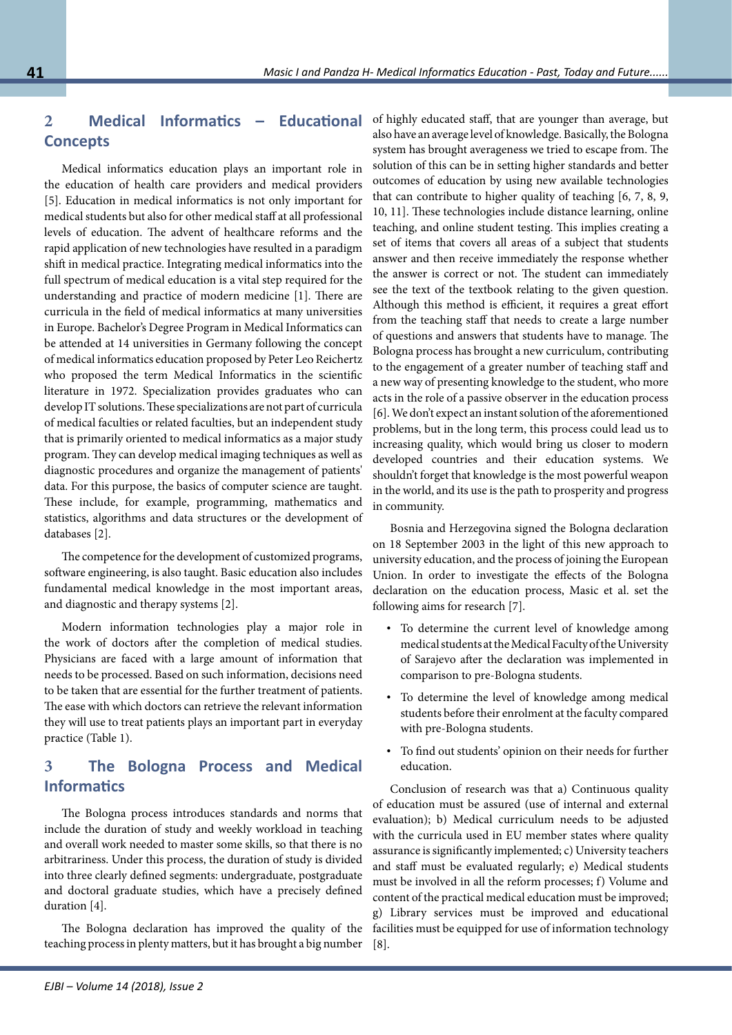# **2 Medical Informatics – Educational Concepts**

Medical informatics education plays an important role in the education of health care providers and medical providers [5]. Education in medical informatics is not only important for medical students but also for other medical staff at all professional levels of education. The advent of healthcare reforms and the rapid application of new technologies have resulted in a paradigm shift in medical practice. Integrating medical informatics into the full spectrum of medical education is a vital step required for the understanding and practice of modern medicine [1]. There are curricula in the field of medical informatics at many universities in Europe. Bachelor's Degree Program in Medical Informatics can be attended at 14 universities in Germany following the concept of medical informatics education proposed by Peter Leo Reichertz who proposed the term Medical Informatics in the scientific literature in 1972. Specialization provides graduates who can develop IT solutions. These specializations are not part of curricula of medical faculties or related faculties, but an independent study that is primarily oriented to medical informatics as a major study program. They can develop medical imaging techniques as well as diagnostic procedures and organize the management of patients' data. For this purpose, the basics of computer science are taught. These include, for example, programming, mathematics and statistics, algorithms and data structures or the development of databases [2].

The competence for the development of customized programs, software engineering, is also taught. Basic education also includes fundamental medical knowledge in the most important areas, and diagnostic and therapy systems [2].

Modern information technologies play a major role in the work of doctors after the completion of medical studies. Physicians are faced with a large amount of information that needs to be processed. Based on such information, decisions need to be taken that are essential for the further treatment of patients. The ease with which doctors can retrieve the relevant information they will use to treat patients plays an important part in everyday practice (Table 1).

# **3 The Bologna Process and Medical Informatics**

The Bologna process introduces standards and norms that include the duration of study and weekly workload in teaching and overall work needed to master some skills, so that there is no arbitrariness. Under this process, the duration of study is divided into three clearly defined segments: undergraduate, postgraduate and doctoral graduate studies, which have a precisely defined duration [4].

The Bologna declaration has improved the quality of the teaching process in plenty matters, but it has brought a big number of highly educated staff, that are younger than average, but also have an average level of knowledge. Basically, the Bologna system has brought averageness we tried to escape from. The solution of this can be in setting higher standards and better outcomes of education by using new available technologies that can contribute to higher quality of teaching [6, 7, 8, 9, 10, 11]. These technologies include distance learning, online teaching, and online student testing. This implies creating a set of items that covers all areas of a subject that students answer and then receive immediately the response whether the answer is correct or not. The student can immediately see the text of the textbook relating to the given question. Although this method is efficient, it requires a great effort from the teaching staff that needs to create a large number of questions and answers that students have to manage. The Bologna process has brought a new curriculum, contributing to the engagement of a greater number of teaching staff and a new way of presenting knowledge to the student, who more acts in the role of a passive observer in the education process [6]. We don't expect an instant solution of the aforementioned problems, but in the long term, this process could lead us to increasing quality, which would bring us closer to modern developed countries and their education systems. We shouldn't forget that knowledge is the most powerful weapon in the world, and its use is the path to prosperity and progress in community.

Bosnia and Herzegovina signed the Bologna declaration on 18 September 2003 in the light of this new approach to university education, and the process of joining the European Union. In order to investigate the effects of the Bologna declaration on the education process, Masic et al. set the following aims for research [7].

- To determine the current level of knowledge among medical students at the Medical Faculty of the University of Sarajevo after the declaration was implemented in comparison to pre-Bologna students.
- To determine the level of knowledge among medical students before their enrolment at the faculty compared with pre-Bologna students.
- To find out students' opinion on their needs for further education.

Conclusion of research was that a) Continuous quality of education must be assured (use of internal and external evaluation); b) Medical curriculum needs to be adjusted with the curricula used in EU member states where quality assurance is significantly implemented; c) University teachers and staff must be evaluated regularly; e) Medical students must be involved in all the reform processes; f) Volume and content of the practical medical education must be improved; g) Library services must be improved and educational facilities must be equipped for use of information technology [8].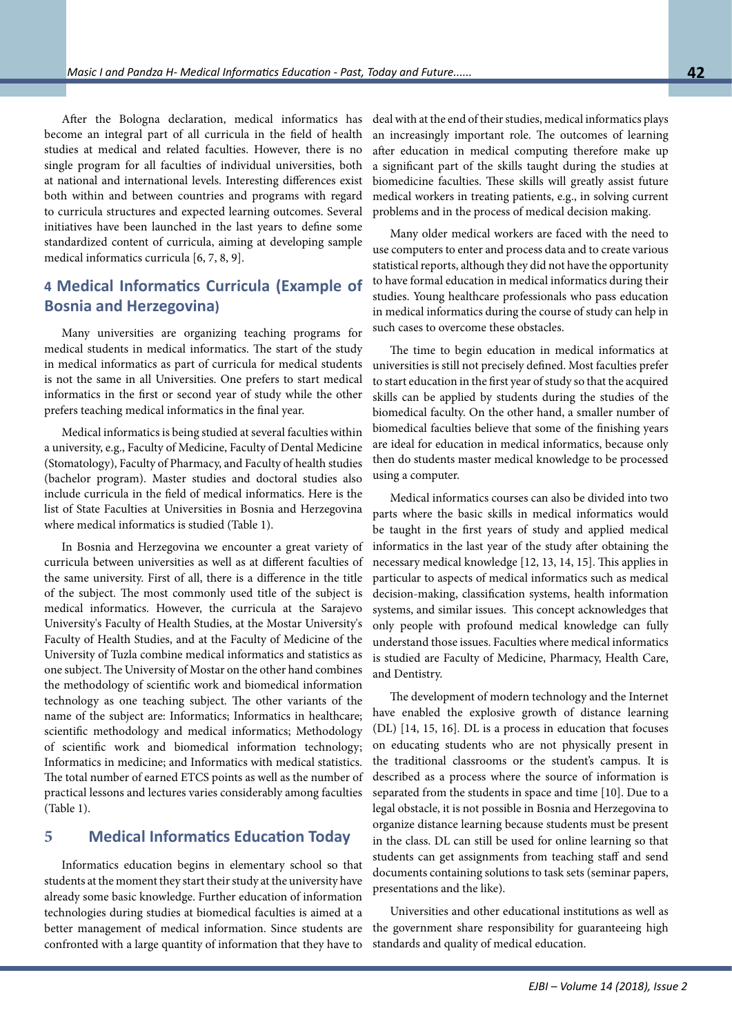After the Bologna declaration, medical informatics has become an integral part of all curricula in the field of health studies at medical and related faculties. However, there is no single program for all faculties of individual universities, both at national and international levels. Interesting differences exist both within and between countries and programs with regard to curricula structures and expected learning outcomes. Several initiatives have been launched in the last years to define some standardized content of curricula, aiming at developing sample medical informatics curricula [6, 7, 8, 9].

# **4 Medical Informatics Curricula (Example of Bosnia and Herzegovina)**

Many universities are organizing teaching programs for medical students in medical informatics. The start of the study in medical informatics as part of curricula for medical students is not the same in all Universities. One prefers to start medical informatics in the first or second year of study while the other prefers teaching medical informatics in the final year.

Medical informatics is being studied at several faculties within a university, e.g., Faculty of Medicine, Faculty of Dental Medicine (Stomatology), Faculty of Pharmacy, and Faculty of health studies (bachelor program). Master studies and doctoral studies also include curricula in the field of medical informatics. Here is the list of State Faculties at Universities in Bosnia and Herzegovina where medical informatics is studied (Table 1).

In Bosnia and Herzegovina we encounter a great variety of curricula between universities as well as at different faculties of the same university. First of all, there is a difference in the title of the subject. The most commonly used title of the subject is medical informatics. However, the curricula at the Sarajevo University's Faculty of Health Studies, at the Mostar University's Faculty of Health Studies, and at the Faculty of Medicine of the University of Tuzla combine medical informatics and statistics as one subject. The University of Mostar on the other hand combines the methodology of scientific work and biomedical information technology as one teaching subject. The other variants of the name of the subject are: Informatics; Informatics in healthcare; scientific methodology and medical informatics; Methodology of scientific work and biomedical information technology; Informatics in medicine; and Informatics with medical statistics. The total number of earned ETCS points as well as the number of practical lessons and lectures varies considerably among faculties (Table 1).

#### **5 Medical Informatics Education Today**

Informatics education begins in elementary school so that students at the moment they start their study at the university have already some basic knowledge. Further education of information technologies during studies at biomedical faculties is aimed at a better management of medical information. Since students are confronted with a large quantity of information that they have to

deal with at the end of their studies, medical informatics plays an increasingly important role. The outcomes of learning after education in medical computing therefore make up a significant part of the skills taught during the studies at biomedicine faculties. These skills will greatly assist future medical workers in treating patients, e.g., in solving current problems and in the process of medical decision making.

Many older medical workers are faced with the need to use computers to enter and process data and to create various statistical reports, although they did not have the opportunity to have formal education in medical informatics during their studies. Young healthcare professionals who pass education in medical informatics during the course of study can help in such cases to overcome these obstacles.

The time to begin education in medical informatics at universities is still not precisely defined. Most faculties prefer to start education in the first year of study so that the acquired skills can be applied by students during the studies of the biomedical faculty. On the other hand, a smaller number of biomedical faculties believe that some of the finishing years are ideal for education in medical informatics, because only then do students master medical knowledge to be processed using a computer.

Medical informatics courses can also be divided into two parts where the basic skills in medical informatics would be taught in the first years of study and applied medical informatics in the last year of the study after obtaining the necessary medical knowledge [12, 13, 14, 15]. This applies in particular to aspects of medical informatics such as medical decision-making, classification systems, health information systems, and similar issues. This concept acknowledges that only people with profound medical knowledge can fully understand those issues. Faculties where medical informatics is studied are Faculty of Medicine, Pharmacy, Health Care, and Dentistry.

The development of modern technology and the Internet have enabled the explosive growth of distance learning (DL) [14, 15, 16]. DL is a process in education that focuses on educating students who are not physically present in the traditional classrooms or the student's campus. It is described as a process where the source of information is separated from the students in space and time [10]. Due to a legal obstacle, it is not possible in Bosnia and Herzegovina to organize distance learning because students must be present in the class. DL can still be used for online learning so that students can get assignments from teaching staff and send documents containing solutions to task sets (seminar papers, presentations and the like).

Universities and other educational institutions as well as the government share responsibility for guaranteeing high standards and quality of medical education.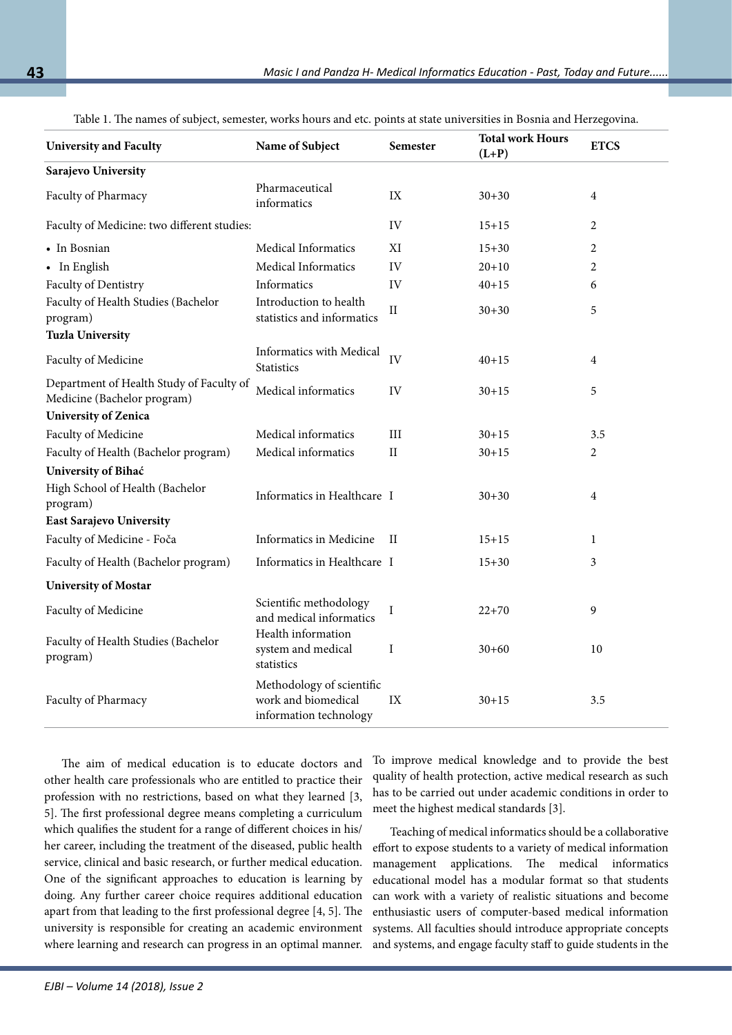| <b>University and Faculty</b>                                           | Name of Subject                                                            | Semester      | <b>Total work Hours</b><br>$(L+P)$ | <b>ETCS</b> |
|-------------------------------------------------------------------------|----------------------------------------------------------------------------|---------------|------------------------------------|-------------|
| Sarajevo University                                                     |                                                                            |               |                                    |             |
| Faculty of Pharmacy                                                     | Pharmaceutical<br>informatics                                              | $\text{IX}$   | $30 + 30$                          | 4           |
| Faculty of Medicine: two different studies:                             |                                                                            | IV            | $15 + 15$                          | 2           |
| • In Bosnian                                                            | Medical Informatics                                                        | XI            | $15 + 30$                          | 2           |
| • In English                                                            | Medical Informatics                                                        | IV            | $20 + 10$                          | 2           |
| Faculty of Dentistry                                                    | Informatics                                                                | IV            | $40 + 15$                          | 6           |
| Faculty of Health Studies (Bachelor<br>program)                         | Introduction to health<br>statistics and informatics                       | $\rm II$      | $30 + 30$                          | 5           |
| <b>Tuzla University</b>                                                 |                                                                            |               |                                    |             |
| Faculty of Medicine                                                     | Informatics with Medical<br><b>Statistics</b>                              | IV            | $40 + 15$                          | 4           |
| Department of Health Study of Faculty of<br>Medicine (Bachelor program) | Medical informatics                                                        | IV            | $30 + 15$                          | 5           |
| <b>University of Zenica</b>                                             |                                                                            |               |                                    |             |
| Faculty of Medicine                                                     | Medical informatics                                                        | III           | $30 + 15$                          | 3.5         |
| Faculty of Health (Bachelor program)                                    | Medical informatics                                                        | $\rm II$      | $30 + 15$                          | 2           |
| University of Bihać                                                     |                                                                            |               |                                    |             |
| High School of Health (Bachelor<br>program)                             | Informatics in Healthcare I                                                |               | $30 + 30$                          | 4           |
| <b>East Sarajevo University</b>                                         |                                                                            |               |                                    |             |
| Faculty of Medicine - Foča                                              | Informatics in Medicine                                                    | П             | $15 + 15$                          | 1           |
| Faculty of Health (Bachelor program)                                    | Informatics in Healthcare I                                                |               | $15 + 30$                          | 3           |
| <b>University of Mostar</b>                                             |                                                                            |               |                                    |             |
| Faculty of Medicine                                                     | Scientific methodology<br>and medical informatics                          | $\mathbf I$   | $22+70$                            | 9           |
| Faculty of Health Studies (Bachelor<br>program)                         | Health information<br>system and medical<br>statistics                     | I             | $30 + 60$                          | 10          |
| Faculty of Pharmacy                                                     | Methodology of scientific<br>work and biomedical<br>information technology | $\mathbf{IX}$ | $30 + 15$                          | 3.5         |

Table 1. The names of subject, semester, works hours and etc. points at state universities in Bosnia and Herzegovina.

The aim of medical education is to educate doctors and other health care professionals who are entitled to practice their profession with no restrictions, based on what they learned [3, 5]. The first professional degree means completing a curriculum which qualifies the student for a range of different choices in his/ her career, including the treatment of the diseased, public health service, clinical and basic research, or further medical education. One of the significant approaches to education is learning by doing. Any further career choice requires additional education apart from that leading to the first professional degree [4, 5]. The university is responsible for creating an academic environment where learning and research can progress in an optimal manner.

To improve medical knowledge and to provide the best quality of health protection, active medical research as such has to be carried out under academic conditions in order to meet the highest medical standards [3].

Teaching of medical informatics should be a collaborative effort to expose students to a variety of medical information management applications. The medical informatics educational model has a modular format so that students can work with a variety of realistic situations and become enthusiastic users of computer-based medical information systems. All faculties should introduce appropriate concepts and systems, and engage faculty staff to guide students in the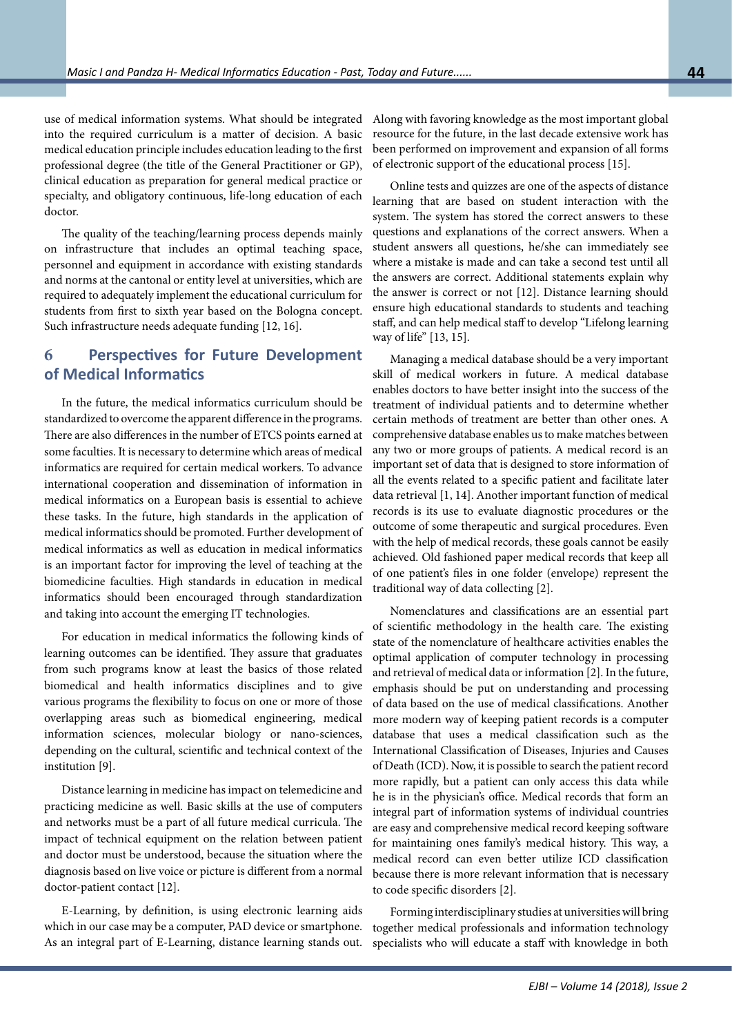use of medical information systems. What should be integrated into the required curriculum is a matter of decision. A basic medical education principle includes education leading to the first professional degree (the title of the General Practitioner or GP), clinical education as preparation for general medical practice or specialty, and obligatory continuous, life-long education of each doctor.

The quality of the teaching/learning process depends mainly on infrastructure that includes an optimal teaching space, personnel and equipment in accordance with existing standards and norms at the cantonal or entity level at universities, which are required to adequately implement the educational curriculum for students from first to sixth year based on the Bologna concept. Such infrastructure needs adequate funding [12, 16].

# **6 Perspectives for Future Development of Medical Informatics**

In the future, the medical informatics curriculum should be standardized to overcome the apparent difference in the programs. There are also differences in the number of ETCS points earned at some faculties. It is necessary to determine which areas of medical informatics are required for certain medical workers. To advance international cooperation and dissemination of information in medical informatics on a European basis is essential to achieve these tasks. In the future, high standards in the application of medical informatics should be promoted. Further development of medical informatics as well as education in medical informatics is an important factor for improving the level of teaching at the biomedicine faculties. High standards in education in medical informatics should been encouraged through standardization and taking into account the emerging IT technologies.

For education in medical informatics the following kinds of learning outcomes can be identified. They assure that graduates from such programs know at least the basics of those related biomedical and health informatics disciplines and to give various programs the flexibility to focus on one or more of those overlapping areas such as biomedical engineering, medical information sciences, molecular biology or nano-sciences, depending on the cultural, scientific and technical context of the institution [9].

Distance learning in medicine has impact on telemedicine and practicing medicine as well. Basic skills at the use of computers and networks must be a part of all future medical curricula. The impact of technical equipment on the relation between patient and doctor must be understood, because the situation where the diagnosis based on live voice or picture is different from a normal doctor-patient contact [12].

E-Learning, by definition, is using electronic learning aids which in our case may be a computer, PAD device or smartphone. As an integral part of E-Learning, distance learning stands out.

Along with favoring knowledge as the most important global resource for the future, in the last decade extensive work has been performed on improvement and expansion of all forms of electronic support of the educational process [15].

Online tests and quizzes are one of the aspects of distance learning that are based on student interaction with the system. The system has stored the correct answers to these questions and explanations of the correct answers. When a student answers all questions, he/she can immediately see where a mistake is made and can take a second test until all the answers are correct. Additional statements explain why the answer is correct or not [12]. Distance learning should ensure high educational standards to students and teaching staff, and can help medical staff to develop "Lifelong learning way of life" [13, 15].

Managing a medical database should be a very important skill of medical workers in future. A medical database enables doctors to have better insight into the success of the treatment of individual patients and to determine whether certain methods of treatment are better than other ones. A comprehensive database enables us to make matches between any two or more groups of patients. A medical record is an important set of data that is designed to store information of all the events related to a specific patient and facilitate later data retrieval [1, 14]. Another important function of medical records is its use to evaluate diagnostic procedures or the outcome of some therapeutic and surgical procedures. Even with the help of medical records, these goals cannot be easily achieved. Old fashioned paper medical records that keep all of one patient's files in one folder (envelope) represent the traditional way of data collecting [2].

Nomenclatures and classifications are an essential part of scientific methodology in the health care. The existing state of the nomenclature of healthcare activities enables the optimal application of computer technology in processing and retrieval of medical data or information [2]. In the future, emphasis should be put on understanding and processing of data based on the use of medical classifications. Another more modern way of keeping patient records is a computer database that uses a medical classification such as the International Classification of Diseases, Injuries and Causes of Death (ICD). Now, it is possible to search the patient record more rapidly, but a patient can only access this data while he is in the physician's office. Medical records that form an integral part of information systems of individual countries are easy and comprehensive medical record keeping software for maintaining ones family's medical history. This way, a medical record can even better utilize ICD classification because there is more relevant information that is necessary to code specific disorders [2].

Forming interdisciplinary studies at universities will bring together medical professionals and information technology specialists who will educate a staff with knowledge in both